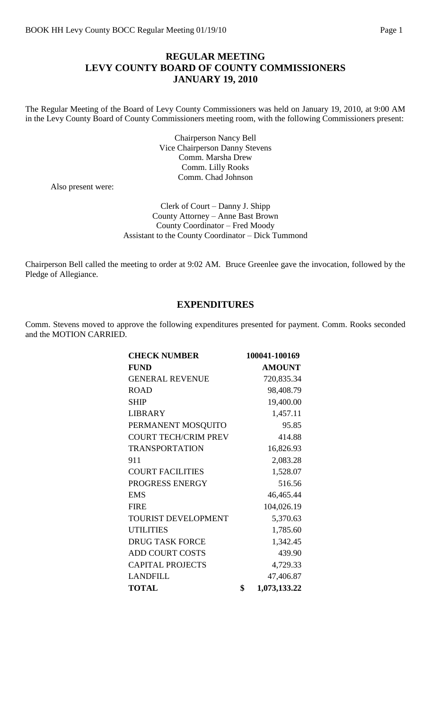# **REGULAR MEETING LEVY COUNTY BOARD OF COUNTY COMMISSIONERS JANUARY 19, 2010**

The Regular Meeting of the Board of Levy County Commissioners was held on January 19, 2010, at 9:00 AM in the Levy County Board of County Commissioners meeting room, with the following Commissioners present:

> Chairperson Nancy Bell Vice Chairperson Danny Stevens Comm. Marsha Drew Comm. Lilly Rooks Comm. Chad Johnson

Also present were:

Clerk of Court – Danny J. Shipp County Attorney – Anne Bast Brown County Coordinator – Fred Moody Assistant to the County Coordinator – Dick Tummond

Chairperson Bell called the meeting to order at 9:02 AM. Bruce Greenlee gave the invocation, followed by the Pledge of Allegiance.

## **EXPENDITURES**

Comm. Stevens moved to approve the following expenditures presented for payment. Comm. Rooks seconded and the MOTION CARRIED.

| <b>CHECK NUMBER</b>         | 100041-100169      |
|-----------------------------|--------------------|
| <b>FUND</b>                 | <b>AMOUNT</b>      |
| <b>GENERAL REVENUE</b>      | 720,835.34         |
| <b>ROAD</b>                 | 98,408.79          |
| <b>SHIP</b>                 | 19,400.00          |
| <b>LIBRARY</b>              | 1,457.11           |
| PERMANENT MOSQUITO          | 95.85              |
| <b>COURT TECH/CRIM PREV</b> | 414.88             |
| <b>TRANSPORTATION</b>       | 16,826.93          |
| 911                         | 2,083.28           |
| <b>COURT FACILITIES</b>     | 1,528.07           |
| PROGRESS ENERGY             | 516.56             |
| <b>EMS</b>                  | 46,465.44          |
| <b>FIRE</b>                 | 104,026.19         |
| TOURIST DEVELOPMENT         | 5,370.63           |
| <b>UTILITIES</b>            | 1,785.60           |
| <b>DRUG TASK FORCE</b>      | 1,342.45           |
| <b>ADD COURT COSTS</b>      | 439.90             |
| <b>CAPITAL PROJECTS</b>     | 4,729.33           |
| <b>LANDFILL</b>             | 47,406.87          |
| <b>TOTAL</b>                | \$<br>1,073,133.22 |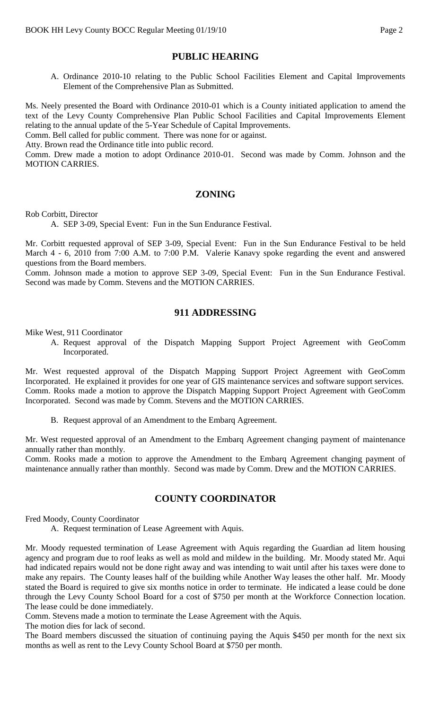# **PUBLIC HEARING**

A. Ordinance 2010-10 relating to the Public School Facilities Element and Capital Improvements Element of the Comprehensive Plan as Submitted.

Ms. Neely presented the Board with Ordinance 2010-01 which is a County initiated application to amend the text of the Levy County Comprehensive Plan Public School Facilities and Capital Improvements Element relating to the annual update of the 5-Year Schedule of Capital Improvements.

Comm. Bell called for public comment. There was none for or against.

Atty. Brown read the Ordinance title into public record.

Comm. Drew made a motion to adopt Ordinance 2010-01. Second was made by Comm. Johnson and the MOTION CARRIES.

## **ZONING**

Rob Corbitt, Director

A. SEP 3-09, Special Event: Fun in the Sun Endurance Festival.

Mr. Corbitt requested approval of SEP 3-09, Special Event: Fun in the Sun Endurance Festival to be held March 4 - 6, 2010 from 7:00 A.M. to 7:00 P.M. Valerie Kanavy spoke regarding the event and answered questions from the Board members.

Comm. Johnson made a motion to approve SEP 3-09, Special Event: Fun in the Sun Endurance Festival. Second was made by Comm. Stevens and the MOTION CARRIES.

## **911 ADDRESSING**

Mike West, 911 Coordinator

A. Request approval of the Dispatch Mapping Support Project Agreement with GeoComm Incorporated.

Mr. West requested approval of the Dispatch Mapping Support Project Agreement with GeoComm Incorporated. He explained it provides for one year of GIS maintenance services and software support services. Comm. Rooks made a motion to approve the Dispatch Mapping Support Project Agreement with GeoComm Incorporated. Second was made by Comm. Stevens and the MOTION CARRIES.

B. Request approval of an Amendment to the Embarq Agreement.

Mr. West requested approval of an Amendment to the Embarq Agreement changing payment of maintenance annually rather than monthly.

Comm. Rooks made a motion to approve the Amendment to the Embarq Agreement changing payment of maintenance annually rather than monthly. Second was made by Comm. Drew and the MOTION CARRIES.

# **COUNTY COORDINATOR**

Fred Moody, County Coordinator

A. Request termination of Lease Agreement with Aquis.

Mr. Moody requested termination of Lease Agreement with Aquis regarding the Guardian ad litem housing agency and program due to roof leaks as well as mold and mildew in the building. Mr. Moody stated Mr. Aqui had indicated repairs would not be done right away and was intending to wait until after his taxes were done to make any repairs. The County leases half of the building while Another Way leases the other half. Mr. Moody stated the Board is required to give six months notice in order to terminate. He indicated a lease could be done through the Levy County School Board for a cost of \$750 per month at the Workforce Connection location. The lease could be done immediately.

Comm. Stevens made a motion to terminate the Lease Agreement with the Aquis.

The motion dies for lack of second.

The Board members discussed the situation of continuing paying the Aquis \$450 per month for the next six months as well as rent to the Levy County School Board at \$750 per month.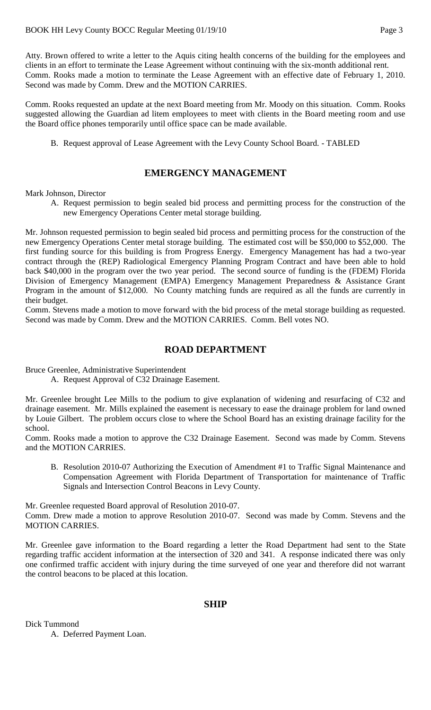Atty. Brown offered to write a letter to the Aquis citing health concerns of the building for the employees and clients in an effort to terminate the Lease Agreement without continuing with the six-month additional rent. Comm. Rooks made a motion to terminate the Lease Agreement with an effective date of February 1, 2010. Second was made by Comm. Drew and the MOTION CARRIES.

Comm. Rooks requested an update at the next Board meeting from Mr. Moody on this situation. Comm. Rooks suggested allowing the Guardian ad litem employees to meet with clients in the Board meeting room and use the Board office phones temporarily until office space can be made available.

B. Request approval of Lease Agreement with the Levy County School Board. - TABLED

# **EMERGENCY MANAGEMENT**

Mark Johnson, Director

A. Request permission to begin sealed bid process and permitting process for the construction of the new Emergency Operations Center metal storage building.

Mr. Johnson requested permission to begin sealed bid process and permitting process for the construction of the new Emergency Operations Center metal storage building. The estimated cost will be \$50,000 to \$52,000. The first funding source for this building is from Progress Energy. Emergency Management has had a two-year contract through the (REP) Radiological Emergency Planning Program Contract and have been able to hold back \$40,000 in the program over the two year period. The second source of funding is the (FDEM) Florida Division of Emergency Management (EMPA) Emergency Management Preparedness & Assistance Grant Program in the amount of \$12,000. No County matching funds are required as all the funds are currently in their budget.

Comm. Stevens made a motion to move forward with the bid process of the metal storage building as requested. Second was made by Comm. Drew and the MOTION CARRIES. Comm. Bell votes NO.

# **ROAD DEPARTMENT**

Bruce Greenlee, Administrative Superintendent

A. Request Approval of C32 Drainage Easement.

Mr. Greenlee brought Lee Mills to the podium to give explanation of widening and resurfacing of C32 and drainage easement. Mr. Mills explained the easement is necessary to ease the drainage problem for land owned by Louie Gilbert. The problem occurs close to where the School Board has an existing drainage facility for the school.

Comm. Rooks made a motion to approve the C32 Drainage Easement. Second was made by Comm. Stevens and the MOTION CARRIES.

B. Resolution 2010-07 Authorizing the Execution of Amendment #1 to Traffic Signal Maintenance and Compensation Agreement with Florida Department of Transportation for maintenance of Traffic Signals and Intersection Control Beacons in Levy County.

Mr. Greenlee requested Board approval of Resolution 2010-07.

Comm. Drew made a motion to approve Resolution 2010-07. Second was made by Comm. Stevens and the MOTION CARRIES.

Mr. Greenlee gave information to the Board regarding a letter the Road Department had sent to the State regarding traffic accident information at the intersection of 320 and 341. A response indicated there was only one confirmed traffic accident with injury during the time surveyed of one year and therefore did not warrant the control beacons to be placed at this location.

#### **SHIP**

Dick Tummond A. Deferred Payment Loan.